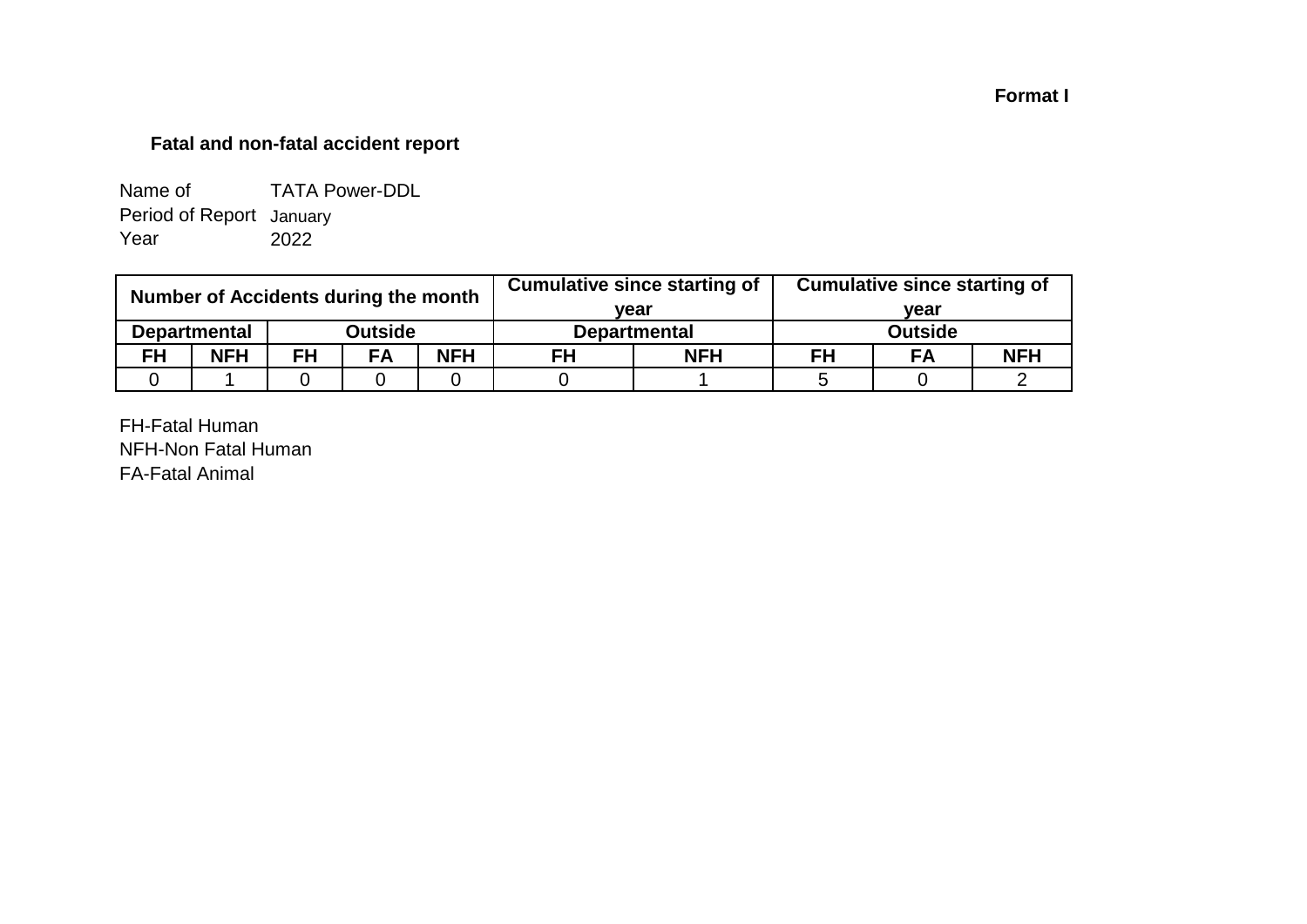## **Format I**

## **Fatal and non-fatal accident report**

| Name of                  | <b>TATA Power-DDL</b> |
|--------------------------|-----------------------|
| Period of Report January |                       |
| Year                     | 2022                  |

| Number of Accidents during the month |                     |           |           |            |                     | <b>Cumulative since starting of</b> | <b>Cumulative since starting of</b> |      |            |  |
|--------------------------------------|---------------------|-----------|-----------|------------|---------------------|-------------------------------------|-------------------------------------|------|------------|--|
|                                      |                     |           |           |            | vear                |                                     |                                     | vear |            |  |
|                                      | <b>Departmental</b> |           | Outside   |            | <b>Departmental</b> |                                     | <b>Outside</b>                      |      |            |  |
| <b>FH</b>                            | <b>NFH</b>          | <b>FH</b> | <b>FA</b> | <b>NFH</b> | <b>NFH</b><br>FH    |                                     | FH                                  | FA   | <b>NFH</b> |  |
|                                      |                     |           |           |            |                     |                                     |                                     |      |            |  |

FH-Fatal Human NFH-Non Fatal Human FA-Fatal Animal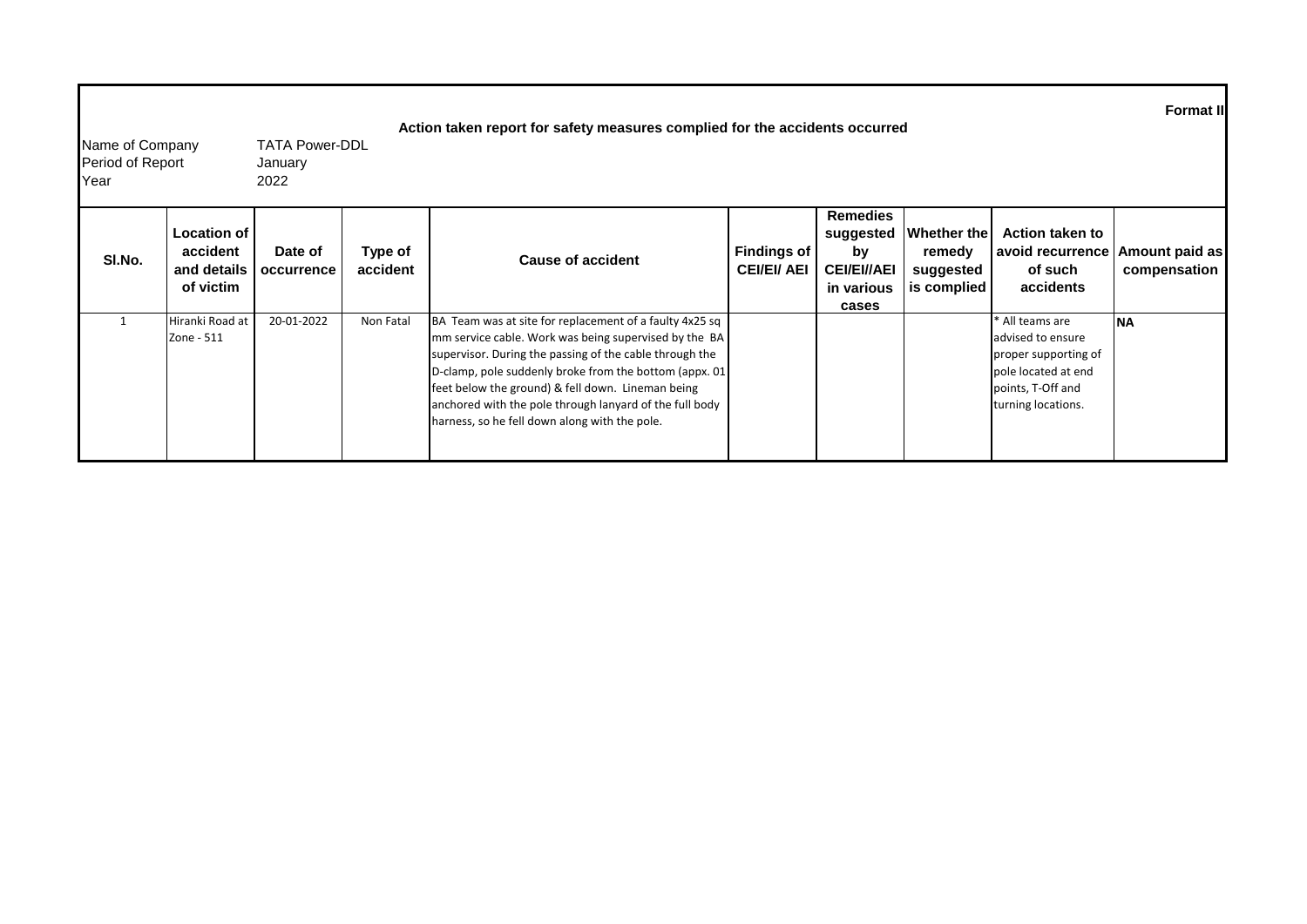| Name of Company<br><b>Period of Report</b><br>Year |                                                     | <b>TATA Power-DDL</b><br>January<br>2022 |                     | Action taken report for safety measures complied for the accidents occurred                                                                                                                                                                                                                                                                                                                             |                                   |                                                                                 |                                                   |                                                                                                                                | <b>Format II</b>               |
|----------------------------------------------------|-----------------------------------------------------|------------------------------------------|---------------------|---------------------------------------------------------------------------------------------------------------------------------------------------------------------------------------------------------------------------------------------------------------------------------------------------------------------------------------------------------------------------------------------------------|-----------------------------------|---------------------------------------------------------------------------------|---------------------------------------------------|--------------------------------------------------------------------------------------------------------------------------------|--------------------------------|
| SI.No.                                             | Location of<br>accident<br>and details<br>of victim | Date of<br>occurrence                    | Type of<br>accident | <b>Cause of accident</b>                                                                                                                                                                                                                                                                                                                                                                                | Findings of<br><b>CEI/EI/ AEI</b> | <b>Remedies</b><br>suggested<br>bv<br><b>CEI/EI//AEI</b><br>in various<br>cases | Whether the<br>remedy<br>suggested<br>is complied | <b>Action taken to</b><br>avoid recurrence<br>of such<br>accidents                                                             | Amount paid as<br>compensation |
|                                                    | Hiranki Road at<br>Zone - 511                       | 20-01-2022                               | Non Fatal           | BA Team was at site for replacement of a faulty 4x25 sq<br>mm service cable. Work was being supervised by the BA<br>supervisor. During the passing of the cable through the<br>D-clamp, pole suddenly broke from the bottom (appx. 01)<br>feet below the ground) & fell down. Lineman being<br>anchored with the pole through lanyard of the full body<br>harness, so he fell down along with the pole. |                                   |                                                                                 |                                                   | * All teams are<br>advised to ensure<br>proper supporting of<br>pole located at end<br>points, T-Off and<br>turning locations. | <b>NA</b>                      |

Г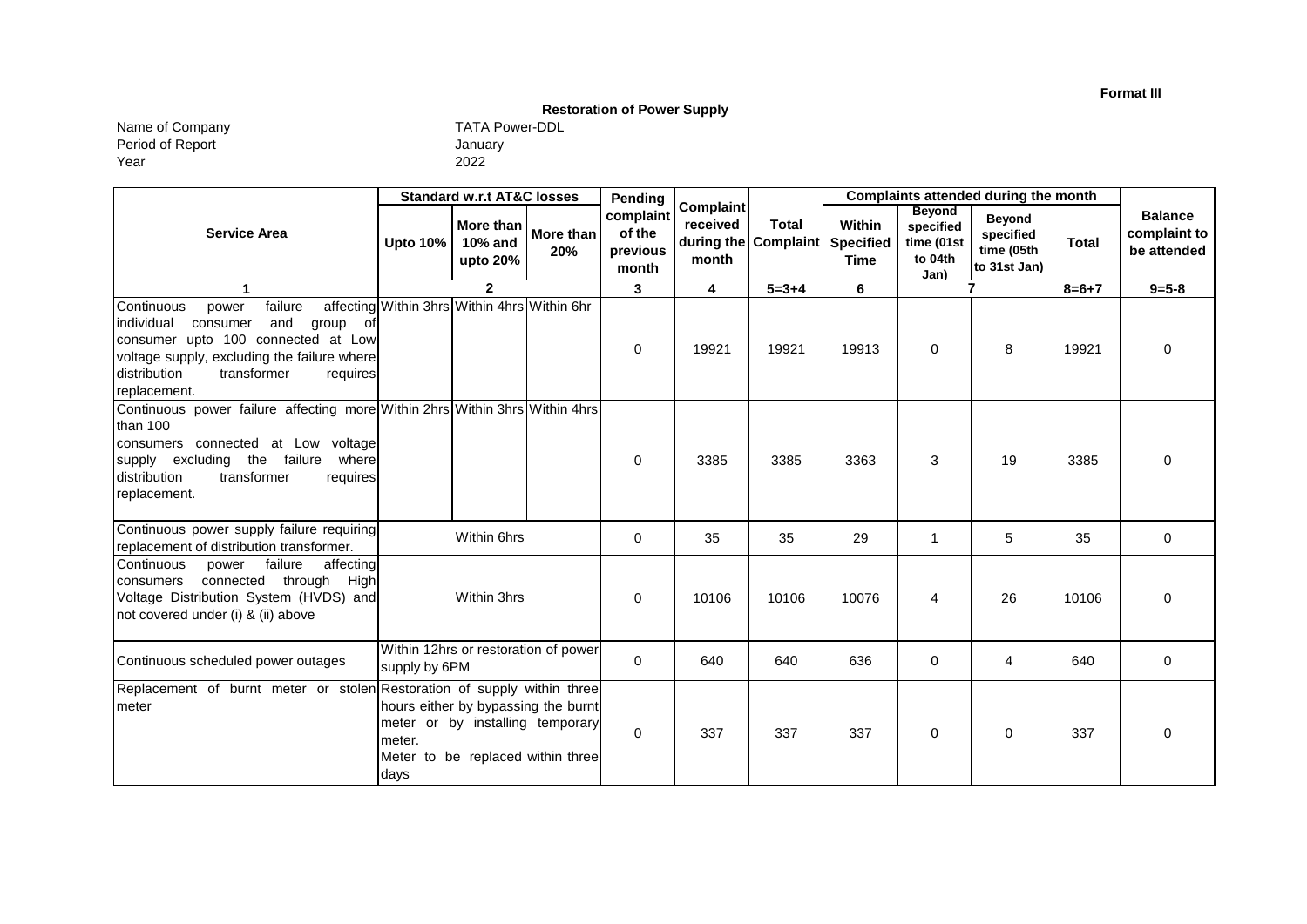**Format III**

## **Restoration of Power Supply**

Name of Company TATA Power-DDL Period of Report Year

| TATA Pow |
|----------|
| January  |
| 2022     |

|                                                                                                                                                                                                                                    | <b>Standard w.r.t AT&amp;C losses</b>        |                                  | Pending                                                                                                      | <b>Complaint</b>                         |                   | Complaints attended during the month |                                                  |                                                             |                                                          |              |                                               |
|------------------------------------------------------------------------------------------------------------------------------------------------------------------------------------------------------------------------------------|----------------------------------------------|----------------------------------|--------------------------------------------------------------------------------------------------------------|------------------------------------------|-------------------|--------------------------------------|--------------------------------------------------|-------------------------------------------------------------|----------------------------------------------------------|--------------|-----------------------------------------------|
| <b>Service Area</b>                                                                                                                                                                                                                | <b>Upto 10%</b>                              | More than<br>10% and<br>upto 20% | More than<br>20%                                                                                             | complaint<br>of the<br>previous<br>month | received<br>month | <b>Total</b><br>during the Complaint | <b>Within</b><br><b>Specified</b><br><b>Time</b> | <b>Beyond</b><br>specified<br>time (01st<br>to 04th<br>Jan) | <b>Beyond</b><br>specified<br>time (05th<br>to 31st Jan) | <b>Total</b> | <b>Balance</b><br>complaint to<br>be attended |
| $\blacktriangleleft$                                                                                                                                                                                                               |                                              | $\mathbf{2}$                     |                                                                                                              | $\mathbf{3}$                             | 4                 | $5 = 3 + 4$                          | 6                                                |                                                             | 7                                                        | $8 = 6 + 7$  | $9 = 5 - 8$                                   |
| failure<br>Continuous<br>power<br>and<br>individual<br>group of<br>consumer<br>consumer upto 100 connected at Low<br>voltage supply, excluding the failure where<br>distribution<br>transformer<br>requires<br>replacement.        | affecting Within 3hrs Within 4hrs Within 6hr |                                  |                                                                                                              | 0                                        | 19921             | 19921                                | 19913                                            | $\Omega$                                                    | 8                                                        | 19921        | $\Omega$                                      |
| Continuous power failure affecting more Within 2hrs Within 3hrs Within 4hrs<br>than 100<br>consumers connected at Low voltage<br>supply excluding the failure<br>wherel<br>distribution<br>transformer<br>requires<br>replacement. |                                              |                                  |                                                                                                              | 0                                        | 3385              | 3385                                 | 3363                                             | 3                                                           | 19                                                       | 3385         | $\Omega$                                      |
| Continuous power supply failure requiring<br>replacement of distribution transformer.                                                                                                                                              |                                              | Within 6hrs                      |                                                                                                              | 0                                        | 35                | 35                                   | 29                                               | 1                                                           | 5                                                        | 35           | 0                                             |
| affecting<br>failure<br>Continuous<br>power<br>connected through<br>High<br>consumers<br>Voltage Distribution System (HVDS) and<br>not covered under (i) & (ii) above                                                              |                                              | Within 3hrs                      |                                                                                                              | 0                                        | 10106             | 10106                                | 10076                                            | 4                                                           | 26                                                       | 10106        | $\Omega$                                      |
| Continuous scheduled power outages                                                                                                                                                                                                 | supply by 6PM                                |                                  | Within 12hrs or restoration of power                                                                         | 0                                        | 640               | 640                                  | 636                                              | 0                                                           | 4                                                        | 640          | $\mathbf 0$                                   |
| Replacement of burnt meter or stolen Restoration of supply within three<br>meter                                                                                                                                                   | meter.<br>days                               |                                  | hours either by bypassing the burnt<br>meter or by installing temporary<br>Meter to be replaced within three | 0                                        | 337               | 337                                  | 337                                              | 0                                                           | 0                                                        | 337          | $\Omega$                                      |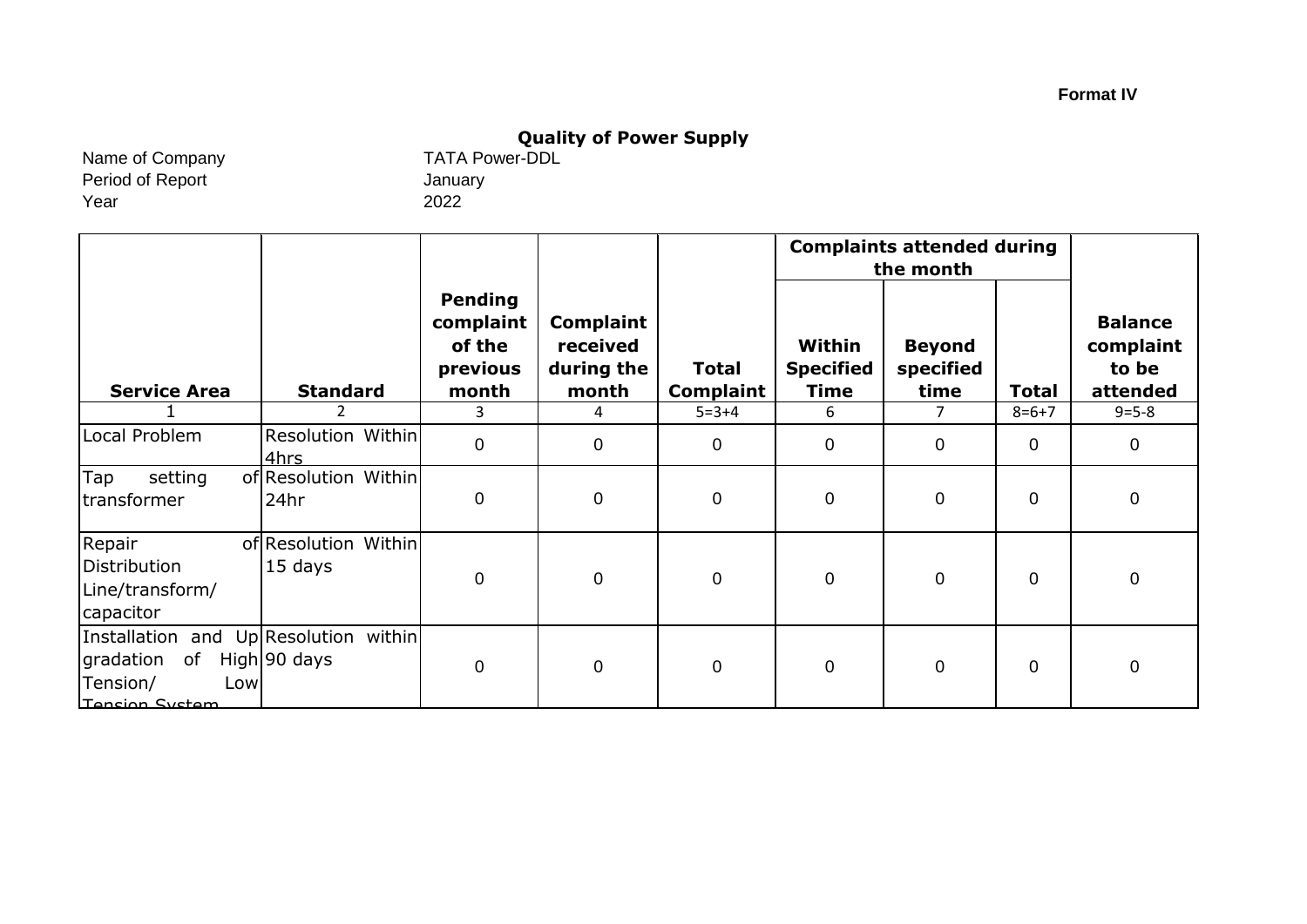# **Quality of Power Supply**<br>TATA Power-DDL

Name of Company Period of Report Year

January 2022

|                                                                                               |                                 |                                                            |                                                     |                                  | <b>Complaints attended during</b><br>the month |                                    |                |                                                  |
|-----------------------------------------------------------------------------------------------|---------------------------------|------------------------------------------------------------|-----------------------------------------------------|----------------------------------|------------------------------------------------|------------------------------------|----------------|--------------------------------------------------|
| <b>Service Area</b>                                                                           | <b>Standard</b>                 | <b>Pending</b><br>complaint<br>of the<br>previous<br>month | <b>Complaint</b><br>received<br>during the<br>month | <b>Total</b><br><b>Complaint</b> | Within<br><b>Specified</b><br><b>Time</b>      | <b>Beyond</b><br>specified<br>time | <b>Total</b>   | <b>Balance</b><br>complaint<br>to be<br>attended |
|                                                                                               | 2                               | 3                                                          | 4                                                   | $5 = 3 + 4$                      | 6                                              | 7                                  | $8=6+7$        | $9 = 5 - 8$                                      |
| Local Problem                                                                                 | Resolution Within<br>4hrs       | $\mathbf 0$                                                | $\mathbf 0$                                         | $\mathbf 0$                      | $\mathbf{0}$                                   | $\overline{0}$                     | $\Omega$       | $\mathbf 0$                                      |
| setting<br>Tap<br>transformer                                                                 | of Resolution Within<br>24hr    | 0                                                          | $\boldsymbol{0}$                                    | $\pmb{0}$                        | $\mathbf 0$                                    | 0                                  | $\mathbf 0$    | $\mathbf 0$                                      |
| Repair<br>Distribution<br>Line/transform/<br>capacitor                                        | of Resolution Within<br>15 days | $\mathbf 0$                                                | $\boldsymbol{0}$                                    | $\mathbf 0$                      | $\mathbf{0}$                                   | $\overline{0}$                     | $\overline{0}$ | $\mathbf 0$                                      |
| Installation and Up Resolution within<br>of<br>gradation<br>Tension/<br>Low<br>Tension System | High 90 days                    | $\mathbf 0$                                                | $\mathbf 0$                                         | $\mathbf 0$                      | $\mathbf 0$                                    | $\overline{0}$                     | $\overline{0}$ | $\mathbf 0$                                      |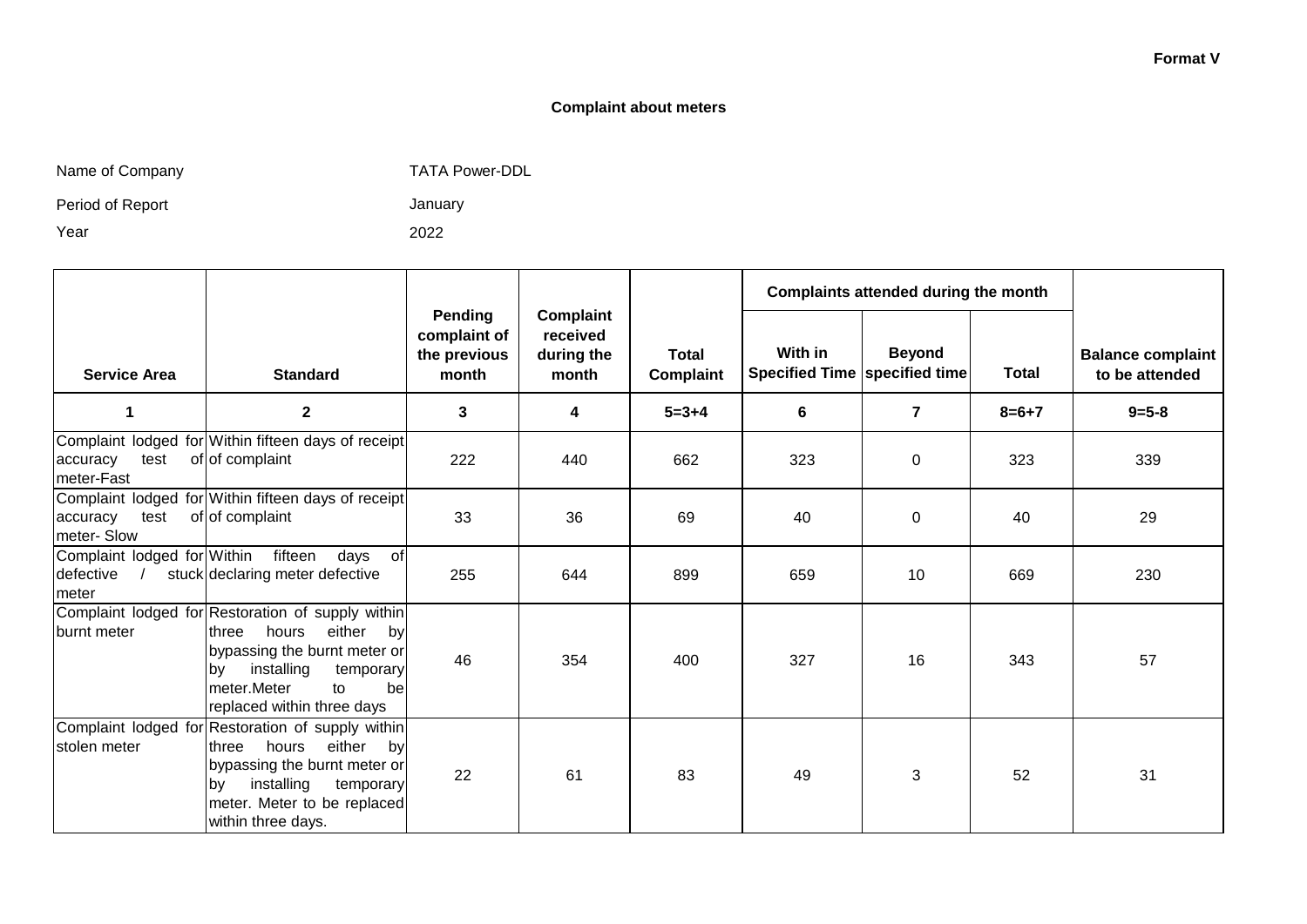#### **Format V**

#### **Complaint about meters**

| Name of Company |  |  |
|-----------------|--|--|
|-----------------|--|--|

any any the Company TATA Power-DDL

Period of Report

Year

January

2022

|                                                   |                                                                                                                                                                                                                |                                                  |                                                     |                           |                                          | Complaints attended during the month |              |                                            |
|---------------------------------------------------|----------------------------------------------------------------------------------------------------------------------------------------------------------------------------------------------------------------|--------------------------------------------------|-----------------------------------------------------|---------------------------|------------------------------------------|--------------------------------------|--------------|--------------------------------------------|
| <b>Service Area</b>                               | <b>Standard</b>                                                                                                                                                                                                | Pending<br>complaint of<br>the previous<br>month | <b>Complaint</b><br>received<br>during the<br>month | <b>Total</b><br>Complaint | With in<br>Specified Time specified time | <b>Beyond</b>                        | <b>Total</b> | <b>Balance complaint</b><br>to be attended |
| 1                                                 | $\mathbf{2}$                                                                                                                                                                                                   | 3                                                | $\overline{\mathbf{4}}$                             | $5 = 3 + 4$               | 6                                        | $\overline{7}$                       | $8=6+7$      | $9 = 5 - 8$                                |
| test<br>accuracy<br>meter-Fast                    | Complaint lodged for Within fifteen days of receipt<br>of of complaint                                                                                                                                         | 222                                              | 440                                                 | 662                       | 323                                      | $\Omega$                             | 323          | 339                                        |
| accuracy<br>test<br>meter-Slow                    | Complaint lodged for Within fifteen days of receipt<br>of of complaint                                                                                                                                         | 33                                               | 36                                                  | 69                        | 40                                       | 0                                    | 40           | 29                                         |
| Complaint lodged for Within<br>defective<br>meter | fifteen<br>days<br>of<br>stuck declaring meter defective                                                                                                                                                       | 255                                              | 644                                                 | 899                       | 659                                      | 10                                   | 669          | 230                                        |
| burnt meter                                       | Complaint lodged for Restoration of supply within<br>hours<br>either<br>three<br>by<br>bypassing the burnt meter or<br>installing<br>temporary<br>by<br>meter.Meter<br>to<br>bel<br>replaced within three days | 46                                               | 354                                                 | 400                       | 327                                      | 16                                   | 343          | 57                                         |
| stolen meter                                      | Complaint lodged for Restoration of supply within<br>either<br>three<br>hours<br>by<br>bypassing the burnt meter or<br>installing<br>temporary<br>by<br>meter. Meter to be replaced<br>within three days.      | 22                                               | 61                                                  | 83                        | 49                                       | 3                                    | 52           | 31                                         |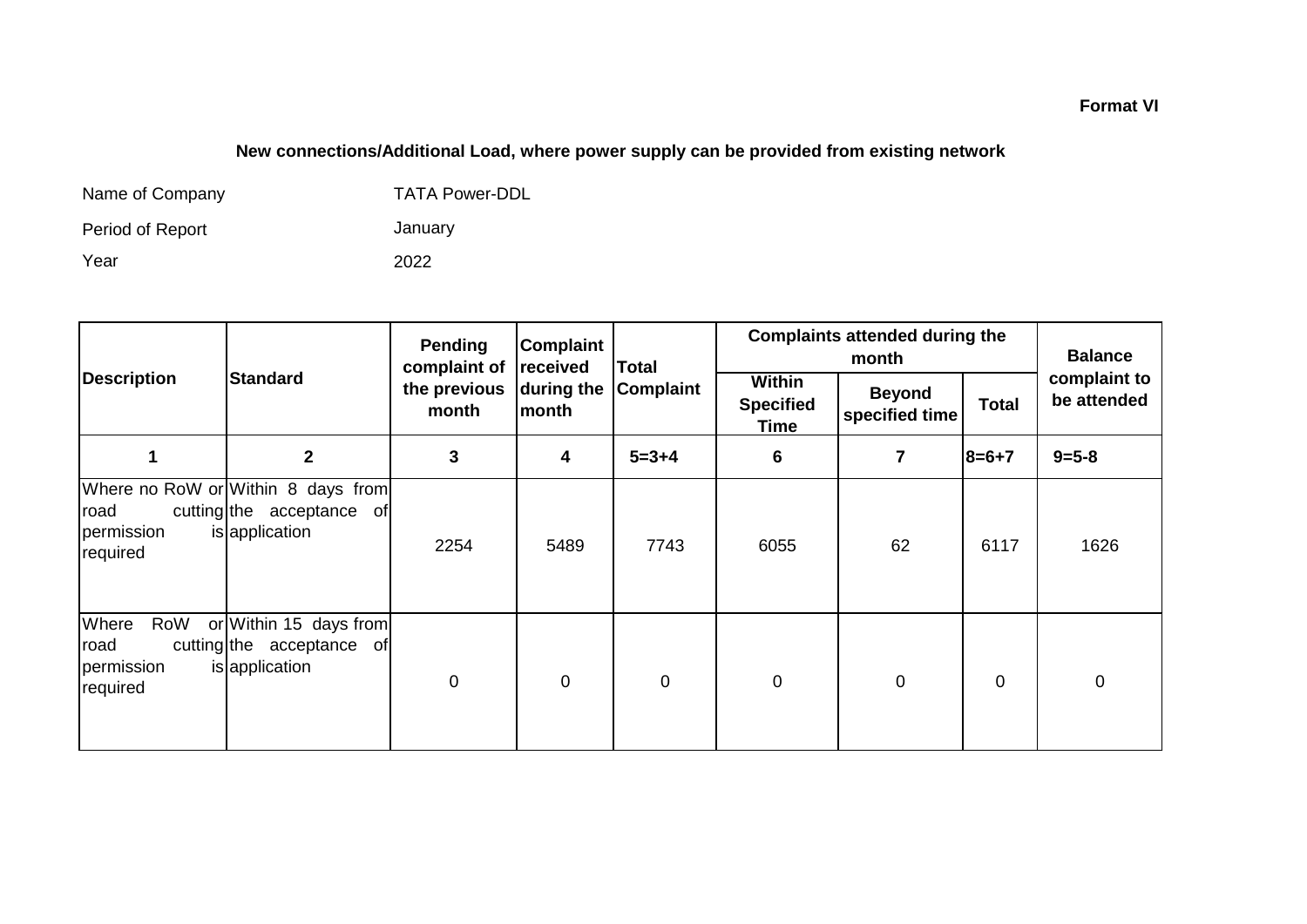## **New connections/Additional Load, where power supply can be provided from existing network**

| Name of Company  | <b>TATA Power-DDL</b> |
|------------------|-----------------------|
| Period of Report | January               |
| Year             | 2022                  |

|                                                |                                                                                   | <b>Pending</b><br>complaint of | Complaint<br>received | <b>Total</b> | <b>Complaints attended during the</b>            | <b>Balance</b>                  |              |                             |
|------------------------------------------------|-----------------------------------------------------------------------------------|--------------------------------|-----------------------|--------------|--------------------------------------------------|---------------------------------|--------------|-----------------------------|
| <b>Description</b>                             | <b>Standard</b>                                                                   | the previous<br>month          | during the<br>month   | Complaint    | <b>Within</b><br><b>Specified</b><br><b>Time</b> | <b>Beyond</b><br>specified time | <b>Total</b> | complaint to<br>be attended |
|                                                | $\overline{2}$                                                                    | $\mathbf{3}$                   | 4                     | $5 = 3 + 4$  | 6                                                | 7                               | 8=6+7        | $9 = 5 - 8$                 |
| road<br>permission<br>required                 | Where no RoW or Within 8 days from<br>cutting the acceptance of<br>is application | 2254                           | 5489                  | 7743         | 6055                                             | 62                              | 6117         | 1626                        |
| Where<br>RoW<br>road<br>permission<br>required | or Within 15 days from<br>cutting the acceptance of<br>is application             | $\mathbf 0$                    | $\mathbf 0$           | $\mathbf 0$  | 0                                                | $\mathbf 0$                     | $\mathbf 0$  | $\boldsymbol{0}$            |

### **Format VI**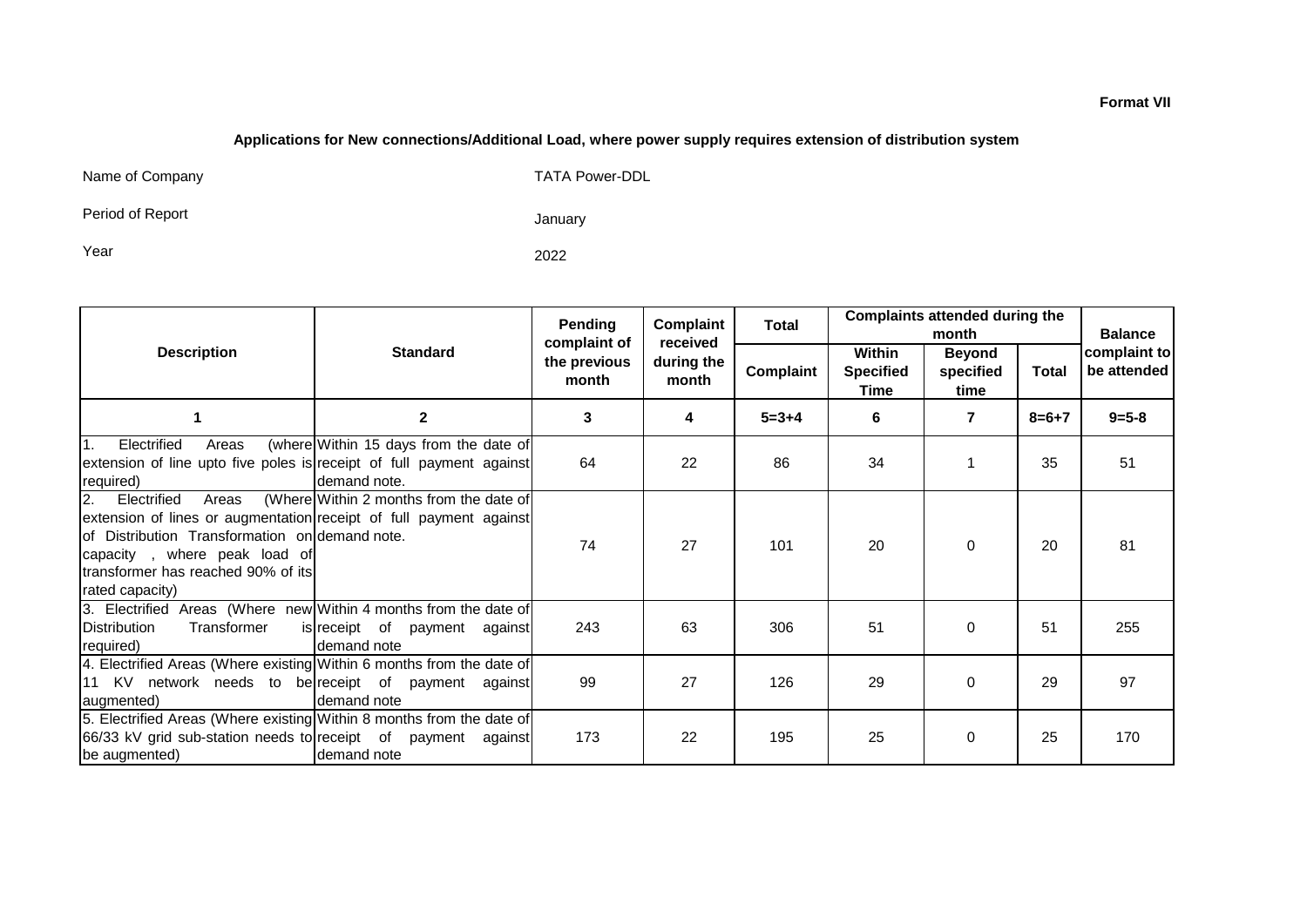#### **Applications for New connections/Additional Load, where power supply requires extension of distribution system**

Name of Company TATA Power-DDL

Period of Report

January

Year 2022

|                                                                                                                                                                                                                                                     |                                                        | Pending<br>complaint of | Complaint<br>received | <b>Total</b> | <b>Complaints attended during the</b><br>month |                                    |             | <b>Balance</b>              |
|-----------------------------------------------------------------------------------------------------------------------------------------------------------------------------------------------------------------------------------------------------|--------------------------------------------------------|-------------------------|-----------------------|--------------|------------------------------------------------|------------------------------------|-------------|-----------------------------|
| <b>Description</b>                                                                                                                                                                                                                                  | <b>Standard</b>                                        |                         | during the<br>month   | Complaint    | Within<br><b>Specified</b><br>Time             | <b>Beyond</b><br>specified<br>time | Total       | complaint to<br>be attended |
|                                                                                                                                                                                                                                                     | $\mathbf{2}$                                           | 3                       | 4                     | $5 = 3 + 4$  | 6                                              | 7                                  | $8 = 6 + 7$ | $9 = 5 - 8$                 |
| Electrified<br>1.<br>Areas<br>extension of line upto five poles is receipt of full payment against<br>required)                                                                                                                                     | (where Within 15 days from the date of<br>demand note. | 64                      | 22                    | 86           | 34                                             |                                    | 35          | 51                          |
| Electrified<br><b>2.</b><br>Areas<br>extension of lines or augmentation receipt of full payment against<br>lof Distribution Transformation on demand note.<br>capacity, where peak load of<br>transformer has reached 90% of its<br>rated capacity) | (Where Within 2 months from the date of                | 74                      | 27                    | 101          | 20                                             | $\Omega$                           | 20          | 81                          |
| 3. Electrified Areas (Where new Within 4 months from the date of<br>Distribution<br>Transformer<br>required)                                                                                                                                        | is receipt of payment against<br>demand note           | 243                     | 63                    | 306          | 51                                             | $\Omega$                           | 51          | 255                         |
| 4. Electrified Areas (Where existing Within 6 months from the date of<br>11 KV network needs to be receipt of payment against<br>augmented)                                                                                                         | demand note                                            | 99                      | 27                    | 126          | 29                                             | $\Omega$                           | 29          | 97                          |
| 5. Electrified Areas (Where existing Within 8 months from the date of<br>66/33 kV grid sub-station needs to receipt of payment against<br>be augmented)                                                                                             | demand note                                            | 173                     | 22                    | 195          | 25                                             | $\Omega$                           | 25          | 170                         |

**Format VII**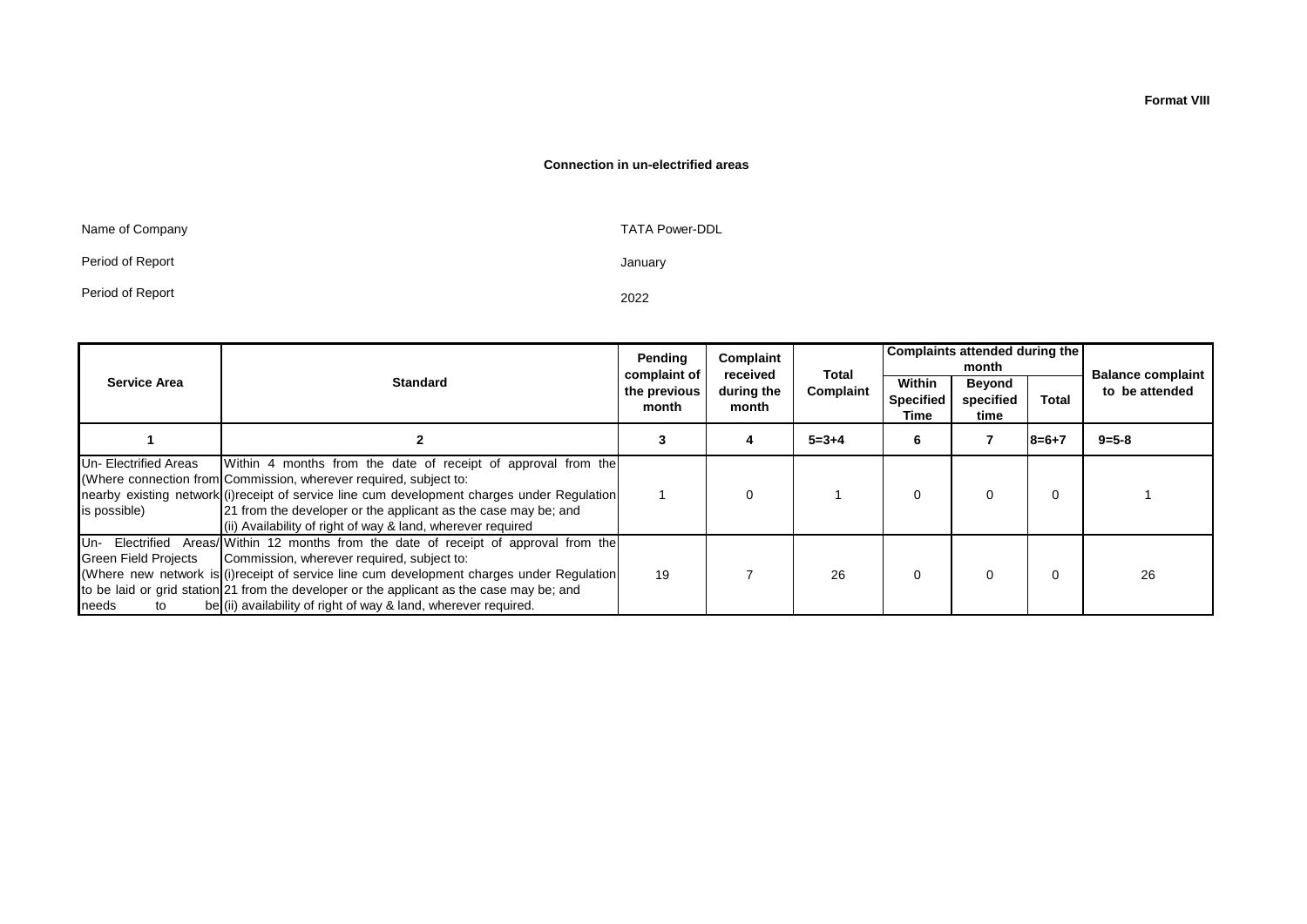#### **Connection in un-electrified areas**

| Name of Company  | <b>TATA Power-DDL</b> |
|------------------|-----------------------|
| Period of Report | January               |
| Period of Report | 2022                  |

|                                            |                                                                                                                                                                                                                                                                                                                                                                                                   | Pending<br>complaint of | Complaint<br>received | Total       | Complaints attended during the<br>month |                                    |              |                                            |
|--------------------------------------------|---------------------------------------------------------------------------------------------------------------------------------------------------------------------------------------------------------------------------------------------------------------------------------------------------------------------------------------------------------------------------------------------------|-------------------------|-----------------------|-------------|-----------------------------------------|------------------------------------|--------------|--------------------------------------------|
| <b>Service Area</b>                        | <b>Standard</b>                                                                                                                                                                                                                                                                                                                                                                                   | the previous<br>month   | during the<br>month   | Complaint   | Within<br><b>Specified</b><br>Time      | <b>Beyond</b><br>specified<br>time | <b>Total</b> | <b>Balance complaint</b><br>to be attended |
|                                            |                                                                                                                                                                                                                                                                                                                                                                                                   |                         |                       | $5 = 3 + 4$ | 6                                       |                                    | $18 = 6 + 7$ | $9 = 5 - 8$                                |
| Un-Electrified Areas<br>is possible)       | Within 4 months from the date of receipt of approval from the<br>(Where connection from Commission, wherever required, subject to:<br>nearby existing network (i) receipt of service line cum development charges under Regulation<br>21 from the developer or the applicant as the case may be; and<br>(ii) Availability of right of way & land, wherever required                               |                         | 0                     |             | $\Omega$                                | $\Omega$                           | 0            |                                            |
| <b>Green Field Projects</b><br>needs<br>to | Un- Electrified Areas/ Within 12 months from the date of receipt of approval from the<br>Commission, wherever required, subject to:<br>(Where new network is (i) receipt of service line cum development charges under Requiation<br>to be laid or grid station 21 from the developer or the applicant as the case may be; and<br>be (ii) availability of right of way & land, wherever required. | 19                      |                       | 26          | $\Omega$                                |                                    | 0            | 26                                         |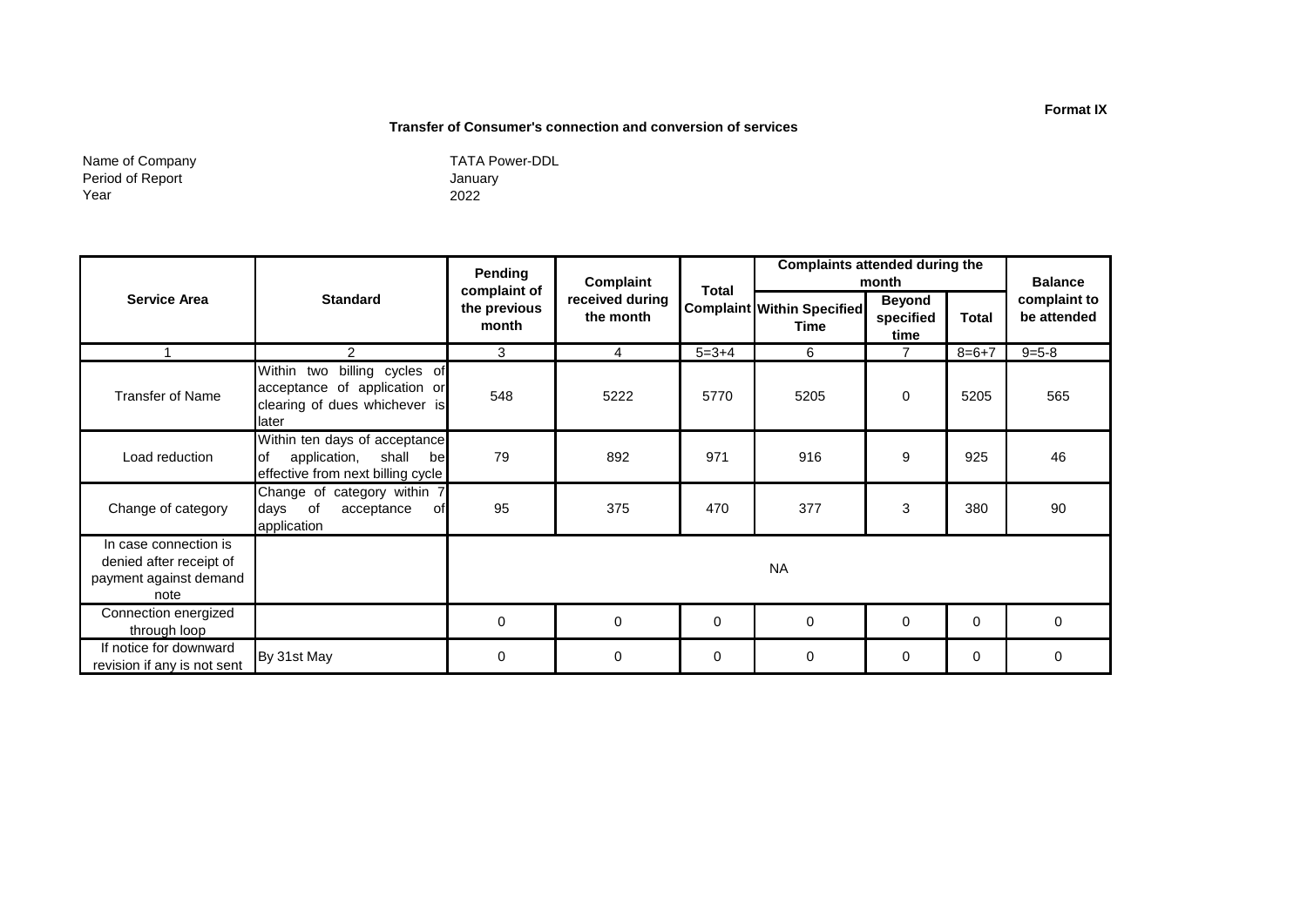#### **Transfer of Consumer's connection and conversion of services**

Name of Company Period of Report Year

January 2022 TATA Power-DDL

|                                                                                    |                                                                                                           | Pending                               | <b>Complaints attended during the</b><br>Complaint<br>month |              |                                           |                                    | <b>Balance</b> |                             |
|------------------------------------------------------------------------------------|-----------------------------------------------------------------------------------------------------------|---------------------------------------|-------------------------------------------------------------|--------------|-------------------------------------------|------------------------------------|----------------|-----------------------------|
| <b>Service Area</b>                                                                | <b>Standard</b>                                                                                           | complaint of<br>the previous<br>month | received during<br>the month                                | <b>Total</b> | <b>Complaint Within Specified</b><br>Time | <b>Beyond</b><br>specified<br>time | <b>Total</b>   | complaint to<br>be attended |
|                                                                                    | $\mathcal{P}$                                                                                             | 3                                     | $\overline{4}$                                              | $5 = 3 + 4$  | 6                                         | $\overline{7}$                     | $8 = 6 + 7$    | $9 = 5 - 8$                 |
| <b>Transfer of Name</b>                                                            | billing cycles of<br>Within two<br>acceptance of application or<br>clearing of dues whichever is<br>later | 548                                   | 5222                                                        | 5770         | 5205                                      | $\Omega$                           | 5205           | 565                         |
| Load reduction                                                                     | Within ten days of acceptance<br>application,<br>lof<br>shall<br>bel<br>effective from next billing cycle | 79                                    | 892                                                         | 971          | 916                                       | 9                                  | 925            | 46                          |
| Change of category                                                                 | Change of category within 7<br>days of<br>acceptance<br>of<br>application                                 | 95                                    | 375                                                         | 470          | 377                                       | 3                                  | 380            | 90                          |
| In case connection is<br>denied after receipt of<br>payment against demand<br>note |                                                                                                           |                                       |                                                             |              | <b>NA</b>                                 |                                    |                |                             |
| Connection energized<br>through loop                                               |                                                                                                           | 0                                     | 0                                                           | $\mathbf 0$  | $\mathbf 0$                               | $\mathbf 0$                        | 0              | 0                           |
| If notice for downward<br>revision if any is not sent                              | By 31st May                                                                                               | 0                                     | 0                                                           | 0            | 0                                         | 0                                  | 0              | 0                           |

#### **Format IX**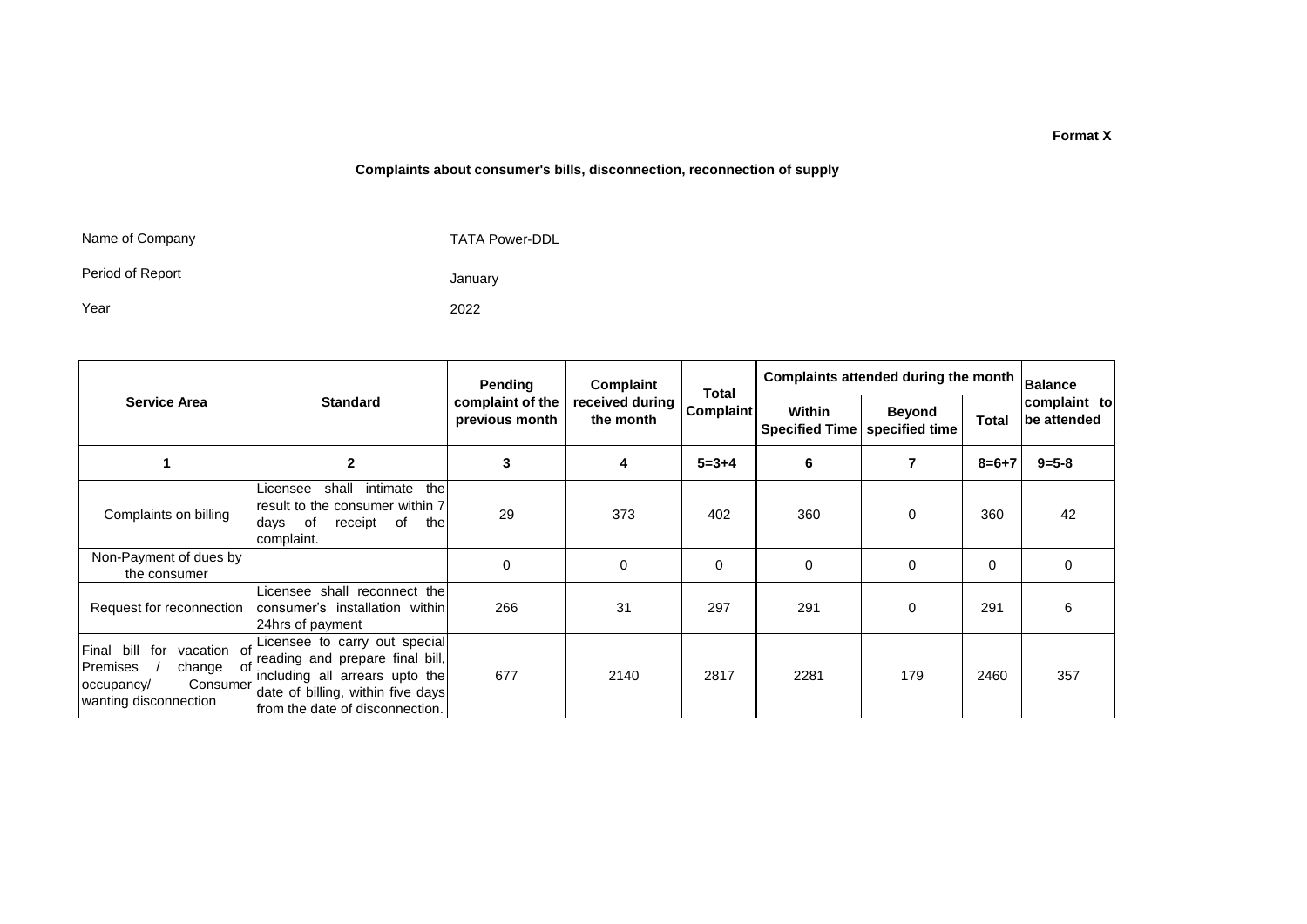#### **Complaints about consumer's bills, disconnection, reconnection of supply**

Name of Company

TATA Power-DDL

Period of Report

Year

2022

January

|                                                                                                                 |                                                                                                                                                                             | Pending                            | Complaint<br>Total           |                  | Complaints attended during the month   | <b>Balance</b>                  |              |                             |
|-----------------------------------------------------------------------------------------------------------------|-----------------------------------------------------------------------------------------------------------------------------------------------------------------------------|------------------------------------|------------------------------|------------------|----------------------------------------|---------------------------------|--------------|-----------------------------|
| <b>Service Area</b>                                                                                             | <b>Standard</b>                                                                                                                                                             | complaint of the<br>previous month | received during<br>the month | <b>Complaint</b> | <b>Within</b><br><b>Specified Time</b> | <b>Beyond</b><br>specified time | <b>Total</b> | complaint to<br>be attended |
|                                                                                                                 | $\mathbf{2}$                                                                                                                                                                | 3                                  | 4                            | $5 = 3 + 4$      | 6                                      | 7                               | $8=6+7$      | $9 = 5 - 8$                 |
| Complaints on billing                                                                                           | the<br>shall<br>intimate<br>Licensee<br>result to the consumer within 7<br>of<br>receipt<br>of<br>the<br>days<br>complaint.                                                 | 29                                 | 373                          | 402              | 360                                    | 0                               | 360          | 42                          |
| Non-Payment of dues by<br>the consumer                                                                          |                                                                                                                                                                             | $\mathbf 0$                        | 0                            | 0                | 0                                      | 0                               | 0            | $\Omega$                    |
| Request for reconnection                                                                                        | Licensee shall reconnect the<br>consumer's installation within<br>24hrs of payment                                                                                          | 266                                | 31                           | 297              | 291                                    | 0                               | 291          | 6                           |
| Final bill<br>for<br>vacation of<br>Premises<br>change<br>ot<br>Consumer<br>occupancy/<br>wanting disconnection | Licensee to carry out special<br>reading and prepare final bill,<br>including all arrears upto the<br>date of billing, within five days<br>Ifrom the date of disconnection. | 677                                | 2140                         | 2817             | 2281                                   | 179                             | 2460         | 357                         |

**Format X**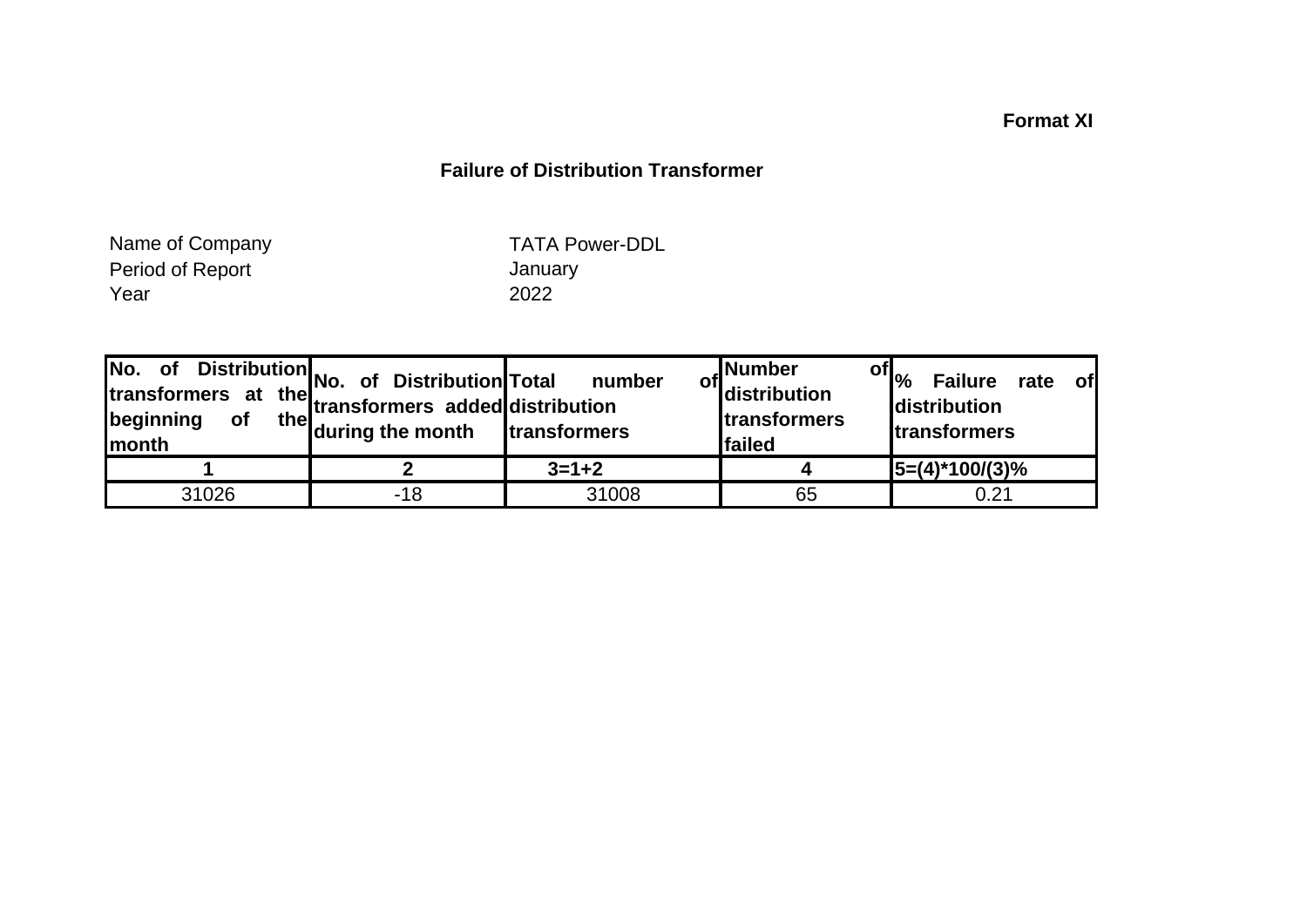## **Format XI**

## **Failure of Distribution Transformer**

Period of Report **Container Search Containers** January<br>
Year 2022 Year 2022 Name of Company

TATA Power-DDL

| No.<br>of<br>transformers at<br>beginning<br>Imonth | Distribution No. of Distribution Total<br>the transformers added distribution<br>the during the month | number<br>transformers | ,Number<br><sup>of</sup> distribution<br><b>Itransformers</b><br>failed | of $ _{\%}$<br><b>Failure</b><br><b>of</b><br>rate<br>distribution<br><b>transformers</b> |
|-----------------------------------------------------|-------------------------------------------------------------------------------------------------------|------------------------|-------------------------------------------------------------------------|-------------------------------------------------------------------------------------------|
|                                                     |                                                                                                       | $3 = 1 + 2$            |                                                                         | $5=(4)^*100/(3)%$                                                                         |
| 31026                                               | -18                                                                                                   | 31008                  | 65                                                                      | 0.21                                                                                      |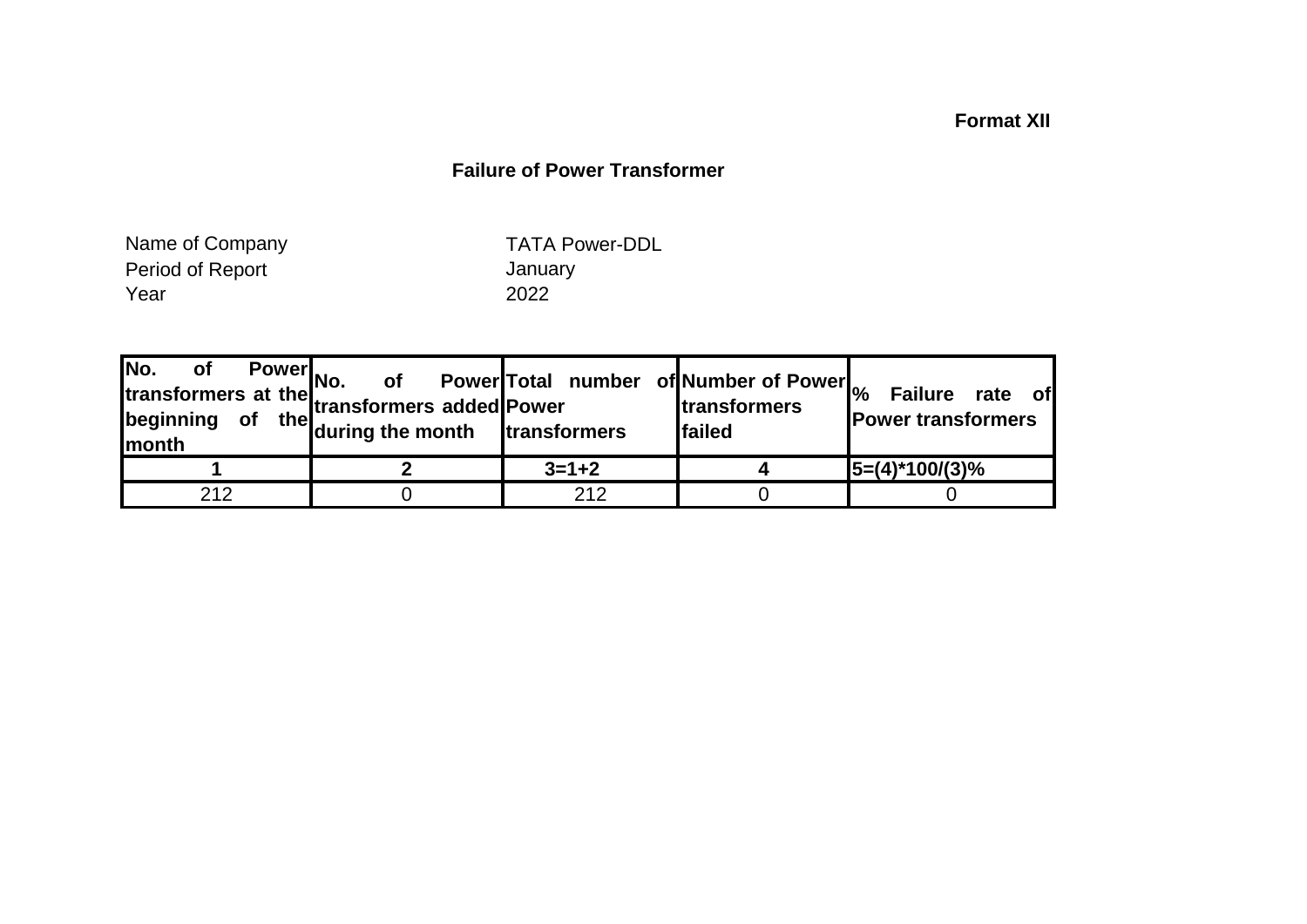## **Format XII**

## **Failure of Power Transformer**

Period of Report **Container Service Contains Container** January Year 2022 Name of Company

TATA Power-DDL

|     | Power<br>No. of redstranded Power<br>of the during the month transformers lfails | of Power Total number of Number of Power <sub>%</sub> | <b>transformers</b><br><b>failed</b> | <b>Failure</b><br>rate of<br><b>Power transformers</b> |
|-----|----------------------------------------------------------------------------------|-------------------------------------------------------|--------------------------------------|--------------------------------------------------------|
|     |                                                                                  | $3 = 1 + 2$                                           |                                      | $ 5=(4)^*100/(3)\%$                                    |
| 212 |                                                                                  | 212                                                   |                                      |                                                        |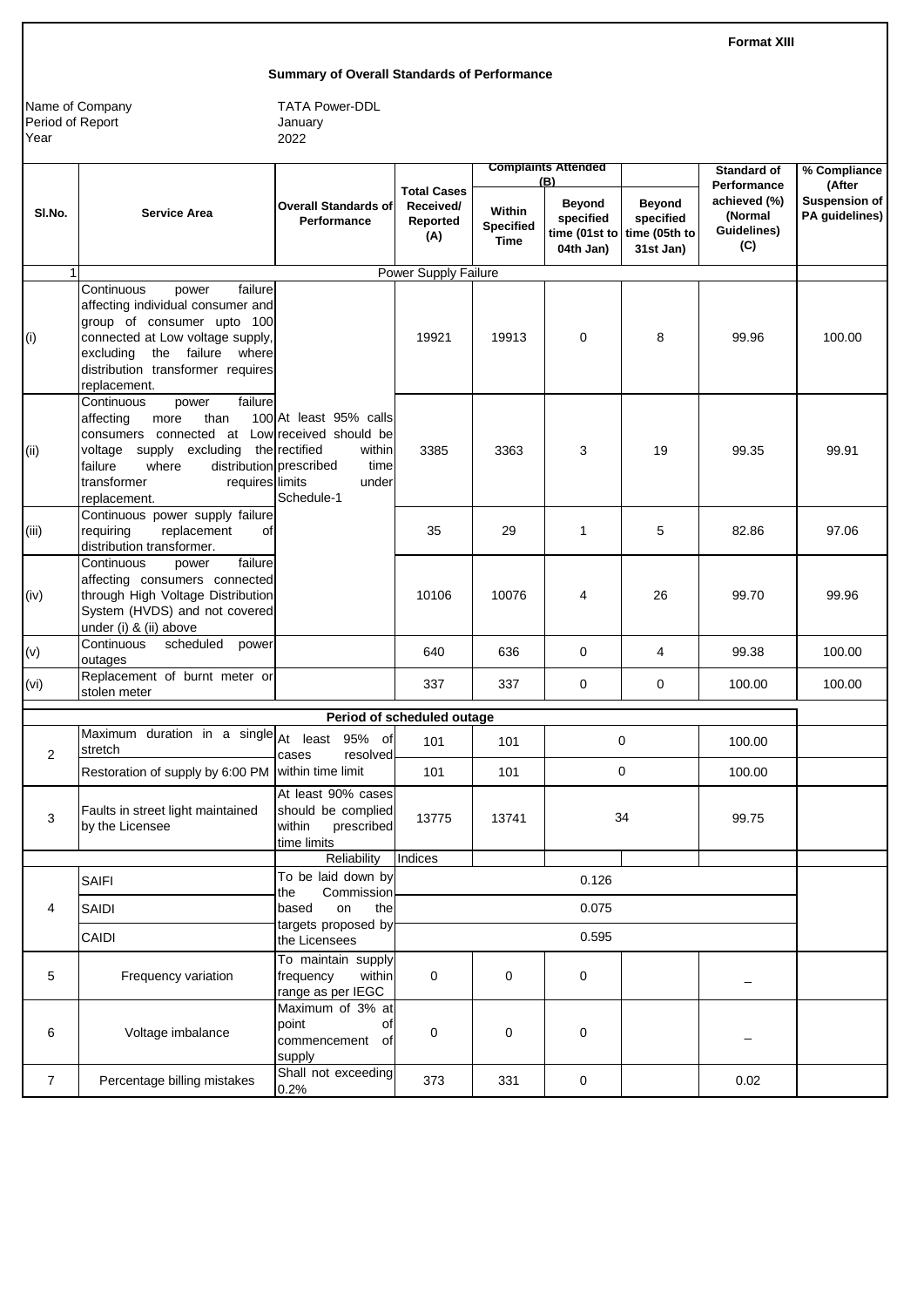**Format XIII**

#### **Summary of Overall Standards of Performance**

Name of Company Period of Report Year

|                |                                                                                                                                                                                                                                              |                                                                                  |                                                    |                                           | <b>Complaints Attended</b>                     |                                                                        | <b>Standard of</b>                                           | % Compliance                                     |
|----------------|----------------------------------------------------------------------------------------------------------------------------------------------------------------------------------------------------------------------------------------------|----------------------------------------------------------------------------------|----------------------------------------------------|-------------------------------------------|------------------------------------------------|------------------------------------------------------------------------|--------------------------------------------------------------|--------------------------------------------------|
| SI.No.         | <b>Service Area</b>                                                                                                                                                                                                                          | <b>Overall Standards of</b><br>Performance                                       | <b>Total Cases</b><br>Received/<br>Reported<br>(A) | Within<br><b>Specified</b><br><b>Time</b> | (B)<br><b>Beyond</b><br>specified<br>04th Jan) | <b>Beyond</b><br>specified<br>time (01st to time (05th to<br>31st Jan) | Performance<br>achieved (%)<br>(Normal<br>Guidelines)<br>(C) | (After<br><b>Suspension of</b><br>PA guidelines) |
|                |                                                                                                                                                                                                                                              |                                                                                  | <b>Power Supply Failure</b>                        |                                           |                                                |                                                                        |                                                              |                                                  |
| (i)            | failure<br>Continuous<br>power<br>affecting individual consumer and<br>group of consumer upto 100<br>connected at Low voltage supply,<br>excluding the failure where<br>distribution transformer requires<br>replacement.                    |                                                                                  | 19921                                              | 19913                                     | $\mathbf 0$                                    | 8                                                                      | 99.96                                                        | 100.00                                           |
| (ii)           | Continuous<br>failure<br>power<br>than<br>affecting<br>more<br>consumers connected at Low received should be<br>voltage<br>supply excluding<br>distribution prescribed<br>failure<br>where<br>transformer<br>requires limits<br>replacement. | 100 At least 95% calls<br>the rectified<br>within<br>time<br>under<br>Schedule-1 | 3385                                               | 3363                                      | 3                                              | 19                                                                     | 99.35                                                        | 99.91                                            |
| (iii)          | Continuous power supply failure<br>replacement<br>requiring<br>οf<br>distribution transformer.                                                                                                                                               |                                                                                  | 35                                                 | 29                                        | $\mathbf{1}$                                   | 5                                                                      | 82.86                                                        | 97.06                                            |
| (iv)           | Continuous<br>failure<br>power<br>affecting consumers connected<br>through High Voltage Distribution<br>System (HVDS) and not covered<br>under (i) & (ii) above                                                                              |                                                                                  | 10106                                              | 10076                                     | 4                                              | 26                                                                     | 99.70                                                        | 99.96                                            |
| (v)            | Continuous<br>scheduled<br>power<br>outages                                                                                                                                                                                                  |                                                                                  | 640                                                | 636                                       | $\mathbf 0$                                    | 4                                                                      | 99.38                                                        | 100.00                                           |
| (vi)           | Replacement of burnt meter or<br>stolen meter                                                                                                                                                                                                |                                                                                  | 337                                                | 337                                       | 0                                              | $\mathbf 0$                                                            | 100.00                                                       | 100.00                                           |
|                |                                                                                                                                                                                                                                              |                                                                                  | Period of scheduled outage                         |                                           |                                                |                                                                        |                                                              |                                                  |
| 2              | Maximum duration in a single At least 95% of<br>stretch                                                                                                                                                                                      | resolved<br>cases                                                                | 101                                                | 101                                       |                                                | $\mathbf 0$                                                            | 100.00                                                       |                                                  |
|                | Restoration of supply by 6:00 PM                                                                                                                                                                                                             | within time limit                                                                | 101                                                | 101                                       |                                                | 0                                                                      | 100.00                                                       |                                                  |
| 3              | Faults in street light maintained<br>by the Licensee                                                                                                                                                                                         | At least 90% cases<br>should be complied<br>within<br>prescribed<br>time limits  | 13775                                              | 13741                                     |                                                | 34                                                                     | 99.75                                                        |                                                  |
|                |                                                                                                                                                                                                                                              | Reliability                                                                      | Indices                                            |                                           |                                                |                                                                        |                                                              |                                                  |
|                | <b>SAIFI</b>                                                                                                                                                                                                                                 | To be laid down by<br>Commission<br>the                                          |                                                    |                                           | 0.126                                          |                                                                        |                                                              |                                                  |
| 4              | SAIDI                                                                                                                                                                                                                                        | based<br>the<br>on<br>targets proposed by                                        |                                                    |                                           | 0.075                                          |                                                                        |                                                              |                                                  |
|                | CAIDI                                                                                                                                                                                                                                        | the Licensees                                                                    |                                                    |                                           | 0.595                                          |                                                                        |                                                              |                                                  |
| 5              | Frequency variation                                                                                                                                                                                                                          | To maintain supply<br>frequency<br>within<br>range as per IEGC                   | $\mathbf 0$                                        | 0                                         | 0                                              |                                                                        |                                                              |                                                  |
| 6              | Voltage imbalance                                                                                                                                                                                                                            | Maximum of 3% at<br>point<br>of<br>commencement of<br>supply                     | 0                                                  | 0                                         | 0                                              |                                                                        |                                                              |                                                  |
| $\overline{7}$ | Percentage billing mistakes                                                                                                                                                                                                                  | Shall not exceeding<br>0.2%                                                      | 373                                                | 331                                       | 0                                              |                                                                        | 0.02                                                         |                                                  |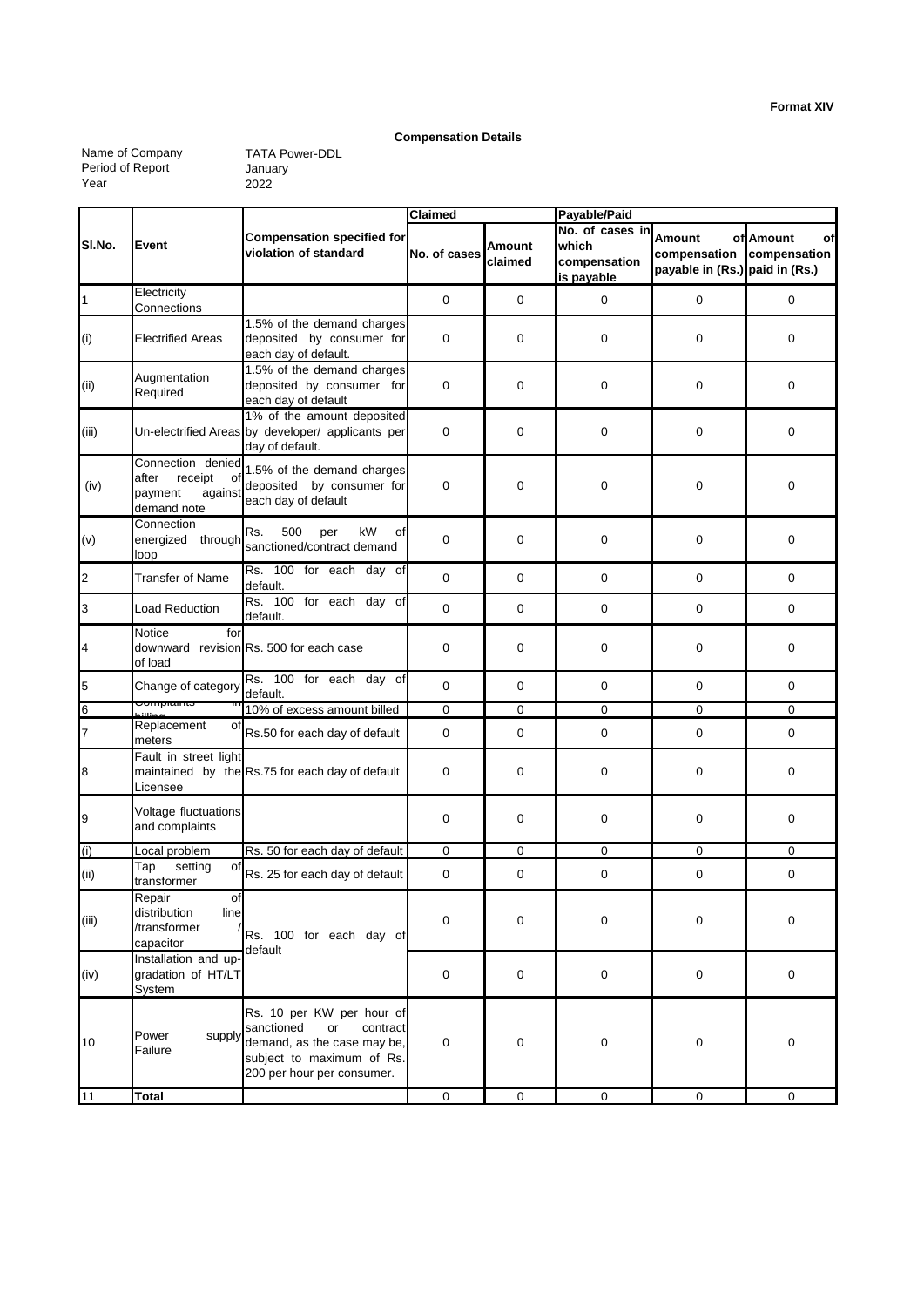#### **Compensation Details**

Name of Company Period of Report Year

|                |                                                                                  |                                                                                                                                                     | Claimed      |                   | Payable/Paid                                           |                                                          |                                 |  |
|----------------|----------------------------------------------------------------------------------|-----------------------------------------------------------------------------------------------------------------------------------------------------|--------------|-------------------|--------------------------------------------------------|----------------------------------------------------------|---------------------------------|--|
| SI.No.         | Event                                                                            | <b>Compensation specified for</b><br>violation of standard                                                                                          | No. of cases | Amount<br>claimed | No. of cases in<br>which<br>compensation<br>is payable | Amount<br>compensation<br>payable in (Rs.) paid in (Rs.) | of Amount<br>οf<br>compensation |  |
| $\mathbf{1}$   | Electricity<br>Connections                                                       |                                                                                                                                                     | 0            | 0                 | $\mathbf 0$                                            | 0                                                        | 0                               |  |
| (i)            | Electrified Areas                                                                | 1.5% of the demand charges<br>deposited by consumer for<br>each day of default.                                                                     | 0            | 0                 | $\mathbf 0$                                            | 0                                                        | $\mathbf 0$                     |  |
| (ii)           | Augmentation<br>Required                                                         | 1.5% of the demand charges<br>deposited by consumer for<br>each day of default                                                                      | 0            | 0                 | $\mathbf 0$                                            | 0                                                        | $\mathbf 0$                     |  |
| (iii)          |                                                                                  | 1% of the amount deposited<br>Un-electrified Areas by developer/ applicants per<br>day of default.                                                  | 0            | $\mathbf 0$       | $\mathbf 0$                                            | 0                                                        | $\mathbf 0$                     |  |
| (iv)           | Connection denied<br>receipt<br>after<br>of<br>payment<br>against<br>demand note | 1.5% of the demand charges<br>deposited by consumer for<br>each day of default                                                                      | 0            | 0                 | $\mathbf 0$                                            | 0                                                        | $\mathbf 0$                     |  |
| (v)            | Connection<br>energized through<br>loop                                          | 500<br>Rs.<br>kW<br>per<br>οf<br>sanctioned/contract demand                                                                                         | 0            | 0                 | $\mathbf 0$                                            | 0                                                        | 0                               |  |
| $\overline{c}$ | <b>Transfer of Name</b>                                                          | Rs. 100 for each day of<br>default.                                                                                                                 | $\mathbf 0$  | 0                 | $\mathbf 0$                                            | 0                                                        | $\mathbf 0$                     |  |
| 3              | <b>Load Reduction</b>                                                            | Rs. 100 for each day of<br>default.                                                                                                                 | 0            | 0                 | 0                                                      | 0                                                        | 0                               |  |
| 4              | Notice<br>for<br>of load                                                         | downward revision Rs. 500 for each case                                                                                                             | $\mathbf 0$  | 0                 | $\mathbf 0$                                            | 0                                                        | $\mathbf 0$                     |  |
| 5              | Change of category                                                               | Rs. 100 for each day of<br>default.                                                                                                                 | 0            | 0                 | $\mathbf 0$                                            | 0                                                        | 0                               |  |
| 6              | Compiaints                                                                       | 10% of excess amount billed                                                                                                                         | 0            | 0                 | 0                                                      | 0                                                        | 0                               |  |
| $\overline{7}$ | Replacement<br>οf<br>meters                                                      | Rs.50 for each day of default                                                                                                                       | 0            | 0                 | $\mathbf 0$                                            | 0                                                        | $\mathbf 0$                     |  |
| 8              | Fault in street light<br>Licensee                                                | maintained by the Rs.75 for each day of default                                                                                                     | $\mathbf 0$  | 0                 | $\mathbf 0$                                            | 0                                                        | $\mathbf 0$                     |  |
| 9              | Voltage fluctuations<br>and complaints                                           |                                                                                                                                                     | 0            | 0                 | $\mathbf 0$                                            | 0                                                        | 0                               |  |
| (i)            | Local problem                                                                    | Rs. 50 for each day of default                                                                                                                      | 0            | $\mathbf 0$       | $\mathbf 0$                                            | 0                                                        | 0                               |  |
| (ii)           | setting<br>Tap<br>οf<br>transformer                                              | Rs. 25 for each day of default                                                                                                                      | 0            | 0                 | 0                                                      | 0                                                        | 0                               |  |
| (iii)          | $\Omega$<br>Repair<br>distribution<br>line<br>/transformer<br>capacitor          | Rs. 100 for each day of<br>default                                                                                                                  | 0            | 0                 | $\pmb{0}$                                              | 0                                                        | 0                               |  |
| (iv)           | Installation and up-<br>gradation of HT/LT<br>System                             |                                                                                                                                                     | 0            | $\mathbf 0$       | $\mathbf 0$                                            | $\mathbf 0$                                              | $\mathbf 0$                     |  |
| 10             | supply<br>Power<br>Failure                                                       | Rs. 10 per KW per hour of<br>sanctioned<br>or<br>contract<br>demand, as the case may be,<br>subject to maximum of Rs.<br>200 per hour per consumer. | 0            | 0                 | 0                                                      | 0                                                        | $\mathbf 0$                     |  |
| 11             | <b>Total</b>                                                                     |                                                                                                                                                     | $\pmb{0}$    | $\mathsf 0$       | $\mathbf 0$                                            | $\mathbf 0$                                              | $\mathbf 0$                     |  |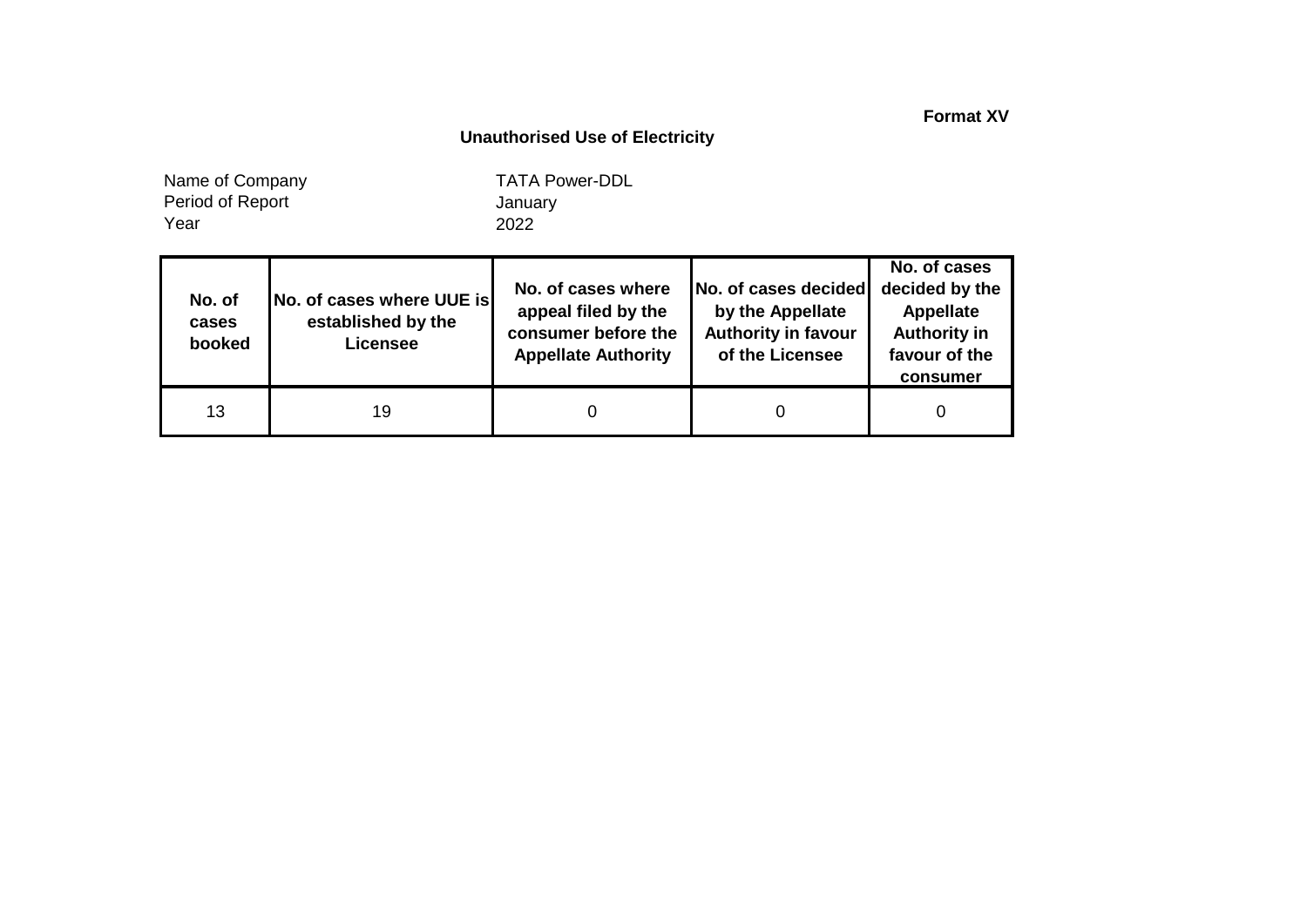**Format XV**

## **Unauthorised Use of Electricity**

Year Name of Company Period of Report

| No. of<br>cases<br>booked | No. of cases where UUE is<br>established by the<br><b>Licensee</b> | No. of cases where<br>appeal filed by the<br>consumer before the<br><b>Appellate Authority</b> | No. of cases decided<br>by the Appellate<br><b>Authority in favour</b><br>of the Licensee | No. of cases<br>decided by the<br><b>Appellate</b><br><b>Authority in</b><br>favour of the<br>consumer |
|---------------------------|--------------------------------------------------------------------|------------------------------------------------------------------------------------------------|-------------------------------------------------------------------------------------------|--------------------------------------------------------------------------------------------------------|
| 13                        | 19                                                                 |                                                                                                |                                                                                           |                                                                                                        |